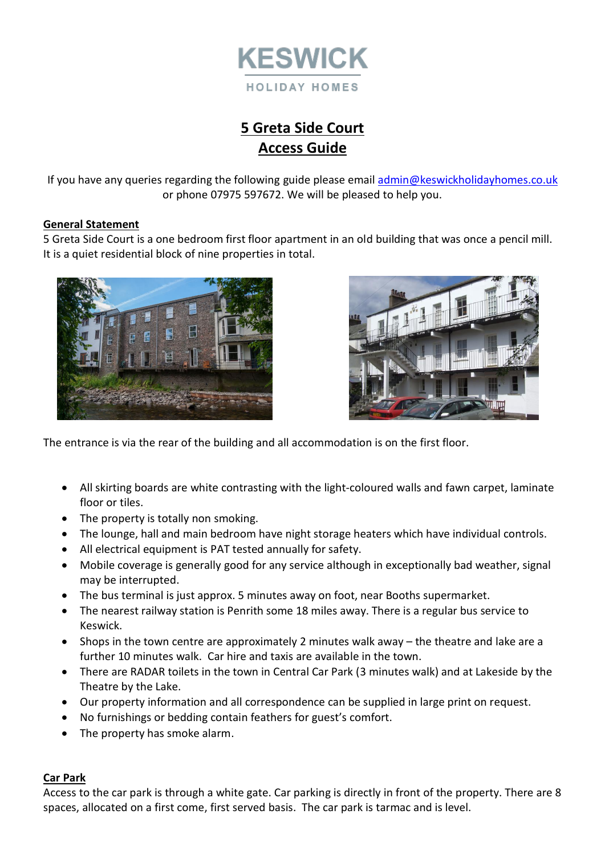

# **5 Greta Side Court Access Guide**

If you have any queries regarding the following guide please emai[l admin@keswickholidayhomes.co.uk](mailto:admin@keswickholidayhomes.co.uk) or phone 07975 597672. We will be pleased to help you.

#### **General Statement**

5 Greta Side Court is a one bedroom first floor apartment in an old building that was once a pencil mill. It is a quiet residential block of nine properties in total.





The entrance is via the rear of the building and all accommodation is on the first floor.

- All skirting boards are white contrasting with the light-coloured walls and fawn carpet, laminate floor or tiles.
- The property is totally non smoking.
- The lounge, hall and main bedroom have night storage heaters which have individual controls.
- All electrical equipment is PAT tested annually for safety.
- Mobile coverage is generally good for any service although in exceptionally bad weather, signal may be interrupted.
- The bus terminal is just approx. 5 minutes away on foot, near Booths supermarket.
- The nearest railway station is Penrith some 18 miles away. There is a regular bus service to Keswick.
- Shops in the town centre are approximately 2 minutes walk away the theatre and lake are a further 10 minutes walk. Car hire and taxis are available in the town.
- There are RADAR toilets in the town in Central Car Park (3 minutes walk) and at Lakeside by the Theatre by the Lake.
- Our property information and all correspondence can be supplied in large print on request.
- No furnishings or bedding contain feathers for guest's comfort.
- The property has smoke alarm.

#### **Car Park**

Access to the car park is through a white gate. Car parking is directly in front of the property. There are 8 spaces, allocated on a first come, first served basis. The car park is tarmac and is level.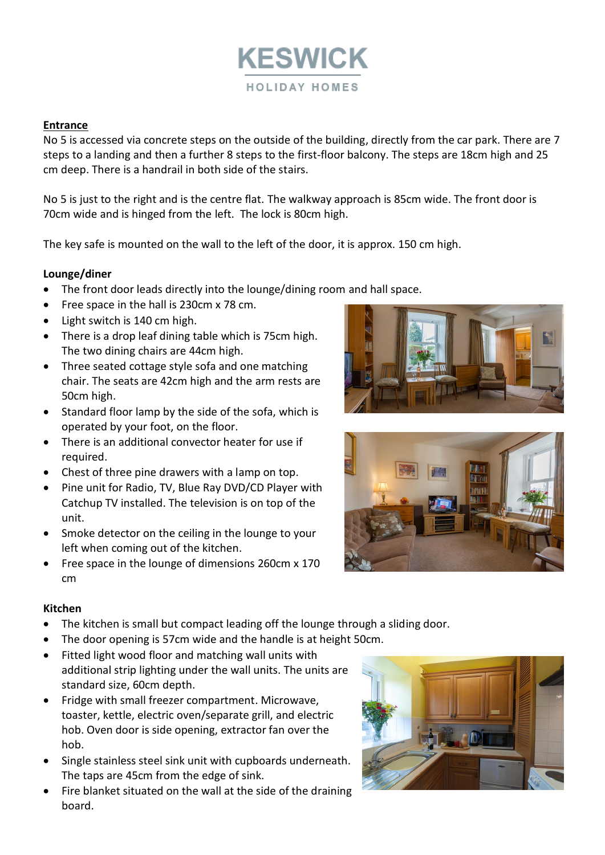

#### **Entrance**

No 5 is accessed via concrete steps on the outside of the building, directly from the car park. There are 7 steps to a landing and then a further 8 steps to the first-floor balcony. The steps are 18cm high and 25 cm deep. There is a handrail in both side of the stairs.

No 5 is just to the right and is the centre flat. The walkway approach is 85cm wide. The front door is 70cm wide and is hinged from the left. The lock is 80cm high.

The key safe is mounted on the wall to the left of the door, it is approx. 150 cm high.

#### **Lounge/diner**

- The front door leads directly into the lounge/dining room and hall space.
- Free space in the hall is 230cm x 78 cm.
- Light switch is 140 cm high.
- There is a drop leaf dining table which is 75cm high. The two dining chairs are 44cm high.
- Three seated cottage style sofa and one matching chair. The seats are 42cm high and the arm rests are 50cm high.
- Standard floor lamp by the side of the sofa, which is operated by your foot, on the floor.
- There is an additional convector heater for use if required.
- Chest of three pine drawers with a lamp on top.
- Pine unit for Radio, TV, Blue Ray DVD/CD Player with Catchup TV installed. The television is on top of the unit.
- Smoke detector on the ceiling in the lounge to your left when coming out of the kitchen.
- Free space in the lounge of dimensions 260cm x 170 cm





### **Kitchen**

- The kitchen is small but compact leading off the lounge through a sliding door.
- The door opening is 57cm wide and the handle is at height 50cm.
- Fitted light wood floor and matching wall units with
- additional strip lighting under the wall units. The units are standard size, 60cm depth.
- Fridge with small freezer compartment. Microwave, toaster, kettle, electric oven/separate grill, and electric hob. Oven door is side opening, extractor fan over the hob.
- Single stainless steel sink unit with cupboards underneath. The taps are 45cm from the edge of sink.
- Fire blanket situated on the wall at the side of the draining board.